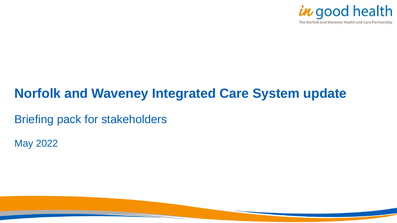

# **Norfolk and Waveney Integrated Care System update**

Briefing pack for stakeholders

May 2022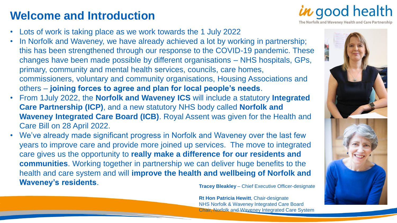### **Welcome and Introduction**

*in* good health The Norfolk and Waveney Health and Care Partnership

- Lots of work is taking place as we work towards the 1 July 2022
- In Norfolk and Waveney, we have already achieved a lot by working in partnership; this has been strengthened through our response to the COVID-19 pandemic. These changes have been made possible by different organisations – NHS hospitals, GPs, primary, community and mental health services, councils, care homes, commissioners, voluntary and community organisations, Housing Associations and others – **joining forces to agree and plan for local people's needs**.
- From 1July 2022, the **Norfolk and Waveney ICS** will include a statutory **Integrated Care Partnership (ICP)**, and a new statutory NHS body called **Norfolk and Waveney Integrated Care Board (ICB)**. Royal Assent was given for the Health and Care Bill on 28 April 2022.
- We've already made significant progress in Norfolk and Waveney over the last few years to improve care and provide more joined up services. The move to integrated care gives us the opportunity to **really make a difference for our residents and communities**. Working together in partnership we can deliver huge benefits to the health and care system and will **improve the health and wellbeing of Norfolk and Waveney's residents**. **Tracey Bleakley** – Chief Executive Officer-designate

**Rt Hon Patricia Hewitt**, Chair-designate NHS Norfolk & Waveney Integrated Care Board Chair, Norfolk and Waveney Integrated Care System

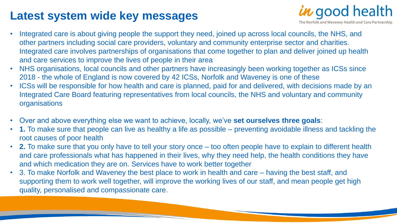#### **Latest system wide key messages**



- Integrated care is about giving people the support they need, joined up across local councils, the NHS, and other partners including social care providers, voluntary and community enterprise sector and charities. Integrated care involves partnerships of organisations that come together to plan and deliver joined up health and care services to improve the lives of people in their area
- NHS organisations, local councils and other partners have increasingly been working together as ICSs since 2018 - the whole of England is now covered by 42 ICSs, Norfolk and Waveney is one of these
- ICSs will be responsible for how health and care is planned, paid for and delivered, with decisions made by an Integrated Care Board featuring representatives from local councils, the NHS and voluntary and community organisations
- Over and above everything else we want to achieve, locally, we've **set ourselves three goals**:
- **1.** To make sure that people can live as healthy a life as possible preventing avoidable illness and tackling the root causes of poor health
- **2.** To make sure that you only have to tell your story once too often people have to explain to different health and care professionals what has happened in their lives, why they need help, the health conditions they have and which medication they are on. Services have to work better together
- 3. To make Norfolk and Waveney the best place to work in health and care having the best staff, and supporting them to work well together, will improve the working lives of our staff, and mean people get high quality, personalised and compassionate care.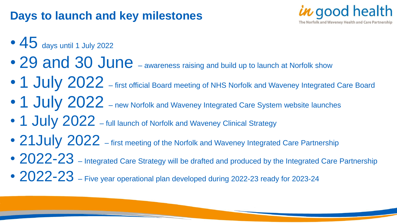## **Days to launch and key milestones**



- $\bullet$  45 days until 1 July 2022
- 29 and 30 June awareness raising and build up to launch at Norfolk show
- 1 July 2022 first official Board meeting of NHS Norfolk and Waveney Integrated Care Board
- 1 July 2022 new Norfolk and Waveney Integrated Care System website launches
- 1 July 2022 full launch of Norfolk and Waveney Clinical Strategy
- 21 July 2022 first meeting of the Norfolk and Waveney Integrated Care Partnership
- 2022-23 Integrated Care Strategy will be drafted and produced by the Integrated Care Partnership
- 2022-23 Five year operational plan developed during 2022-23 ready for 2023-24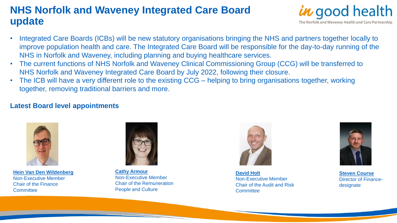#### **NHS Norfolk and Waveney Integrated Care Board update**



- Integrated Care Boards (ICBs) will be new statutory organisations bringing the NHS and partners together locally to improve population health and care. The Integrated Care Board will be responsible for the day-to-day running of the NHS in Norfolk and Waveney, including planning and buying healthcare services.
- The current functions of NHS Norfolk and Waveney Clinical Commissioning Group (CCG) will be transferred to NHS Norfolk and Waveney Integrated Care Board by July 2022, following their closure.
- The ICB will have a very different role to the existing CCG helping to bring organisations together, working together, removing traditional barriers and more.

#### **Latest Board level appointments**



**[Hein Van Den Wildenberg](https://www.norfolkandwaveneypartnership.org.uk/news/non-executive-member-appointed-to-norfolk-and-waveney-integrated-care-board.html)** Non-Executive Member Chair of the Finance **Committee** 



**[Cathy Armour](https://www.norfolkandwaveneypartnership.org.uk/news/second-non-executive-member-appointed-to-nhs-norfolk-and-waveney-integrated-care-board.html)** Non-Executive Member Chair of the Remuneration People and Culture



**[David Holt](https://www.norfolkandwaveneypartnership.org.uk/news/third-non-executive-member-appointed-to-nhs-norfolk-and-waveney-integrated-care-board.html)** Non-Executive Member Chair of the Audit and Risk **Committee** 



**[Steven Course](https://www.norfolkandwaveneypartnership.org.uk/news/new-director-of-finance-designate-appointed-to-nhs-norfolk-and-waveney-integrated-care-board.html)** Director of Financedesignate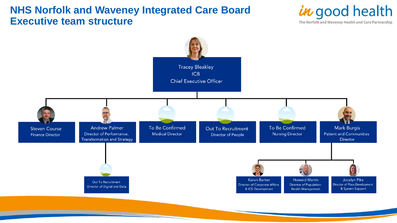#### **NHS Norfolk and Waveney Integrated Care Board Executive team structure**



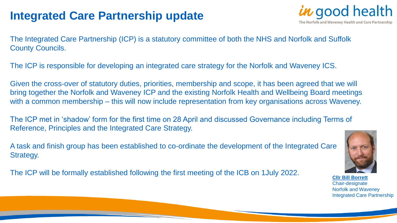## **Integrated Care Partnership update**



The Integrated Care Partnership (ICP) is a statutory committee of both the NHS and Norfolk and Suffolk County Councils.

The ICP is responsible for developing an integrated care strategy for the Norfolk and Waveney ICS.

Given the cross-over of statutory duties, priorities, membership and scope, it has been agreed that we will bring together the Norfolk and Waveney ICP and the existing Norfolk Health and Wellbeing Board meetings with a common membership – this will now include representation from key organisations across Waveney.

The ICP met in 'shadow' form for the first time on 28 April and discussed Governance including Terms of Reference, Principles and the Integrated Care Strategy.

A task and finish group has been established to co-ordinate the development of the Integrated Care Strategy.

The ICP will be formally established following the first meeting of the ICB on 1July 2022.



**[Cllr Bill Borrett](https://www.norfolkandwaveneypartnership.org.uk/news/norfolk-county-councillor-appointed-chair-designate-of-norfolk-and-waveney-integrated-care-partnership.html)** Chair-designate Norfolk and Waveney Integrated Care Partnership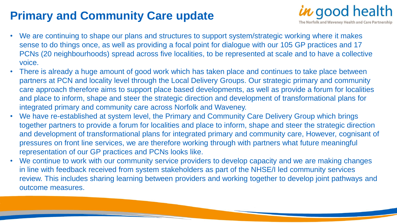## **Primary and Community Care update**

- $\boldsymbol{\kappa}$  good health The Norfolk and Waveney Health and Care Partnership
- We are continuing to shape our plans and structures to support system/strategic working where it makes sense to do things once, as well as providing a focal point for dialogue with our 105 GP practices and 17 PCNs (20 neighbourhoods) spread across five localities, to be represented at scale and to have a collective voice.
- There is already a huge amount of good work which has taken place and continues to take place between partners at PCN and locality level through the Local Delivery Groups. Our strategic primary and community care approach therefore aims to support place based developments, as well as provide a forum for localities and place to inform, shape and steer the strategic direction and development of transformational plans for integrated primary and community care across Norfolk and Waveney.
- We have re-established at system level, the Primary and Community Care Delivery Group which brings together partners to provide a forum for localities and place to inform, shape and steer the strategic direction and development of transformational plans for integrated primary and community care, However, cognisant of pressures on front line services, we are therefore working through with partners what future meaningful representation of our GP practices and PCNs looks like.
- We continue to work with our community service providers to develop capacity and we are making changes in line with feedback received from system stakeholders as part of the NHSE/I led community services review. This includes sharing learning between providers and working together to develop joint pathways and outcome measures.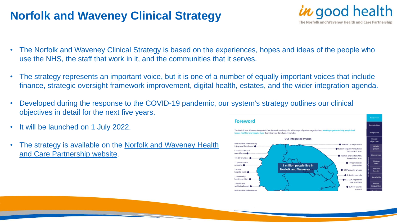### **Norfolk and Waveney Clinical Strategy**

- *in* good health The Norfolk and Waveney Health and Care Partnership
- The Norfolk and Waveney Clinical Strategy is based on the experiences, hopes and ideas of the people who use the NHS, the staff that work in it, and the communities that it serves.
- The strategy represents an important voice, but it is one of a number of equally important voices that include finance, strategic oversight framework improvement, digital health, estates, and the wider integration agenda.
- Developed during the response to the COVID-19 pandemic, our system's strategy outlines our clinical objectives in detail for the next five years.
- It will be launched on 1 July 2022.
- [The strategy is available on the Norfolk and Waveney Health](https://www.norfolkandwaveneypartnership.org.uk/doclink/norfolk-and-waveney-clinical-strategy-2022-2027/eyJ0eXAiOiJKV1QiLCJhbGciOiJIUzI1NiJ9.eyJzdWIiOiJub3Jmb2xrLWFuZC13YXZlbmV5LWNsaW5pY2FsLXN0cmF0ZWd5LTIwMjItMjAyNyIsImlhdCI6MTY1MDM3OTA0OCwiZXhwIjoxNjUwNDY1NDQ4fQ.qXBETdNkbntRrQreu32LgKY9hX2Ih0PBx67_4oQQTWY) and Care Partnership website.

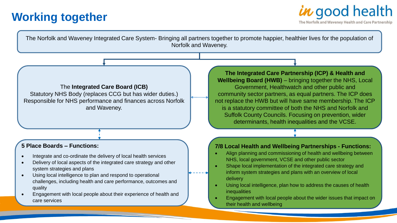## **Working together**



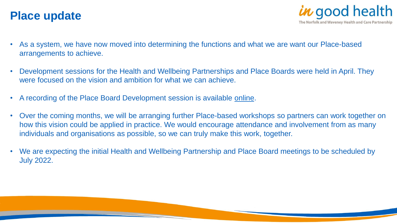#### **Place update**



- As a system, we have now moved into determining the functions and what we are want our Place-based arrangements to achieve.
- Development sessions for the Health and Wellbeing Partnerships and Place Boards were held in April. They were focused on the vision and ambition for what we can achieve.
- A recording of the Place Board Development session is available [online.](https://www.youtube.com/watch?v=vZ87EGLqGbs&t=1s)
- Over the coming months, we will be arranging further Place-based workshops so partners can work together on how this vision could be applied in practice. We would encourage attendance and involvement from as many individuals and organisations as possible, so we can truly make this work, together.
- We are expecting the initial Health and Wellbeing Partnership and Place Board meetings to be scheduled by July 2022.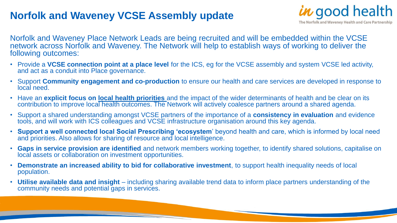#### **Norfolk and Waveney VCSE Assembly update**



Norfolk and Waveney Place Network Leads are being recruited and will be embedded within the VCSE network across Norfolk and Waveney. The Network will help to establish ways of working to deliver the following outcomes:

- Provide a **VCSE connection point at a place level** for the ICS, eg for the VCSE assembly and system VCSE led activity, and act as a conduit into Place governance.
- Support **Community engagement and co-production** to ensure our health and care services are developed in response to local need.
- Have an **explicit focus on local health priorities** and the impact of the wider determinants of health and be clear on its contribution to improve local health outcomes. The Network will actively coalesce partners around a shared agenda.
- Support a shared understanding amongst VCSE partners of the importance of a **consistency in evaluation** and evidence tools, and will work with ICS colleagues and VCSE infrastructure organisation around this key agenda.
- **Support a well connected local Social Prescribing 'ecosystem**' beyond health and care, which is informed by local need and priorities. Also allows for sharing of resource and local intelligence.
- **Gaps in service provision are identified** and network members working together, to identify shared solutions, capitalise on local assets or collaboration on investment opportunities.
- **Demonstrate an increased ability to bid for collaborative investment**, to support health inequality needs of local population.
- **Utilise available data and insight**  including sharing available trend data to inform place partners understanding of the community needs and potential gaps in services.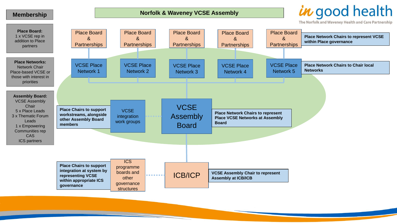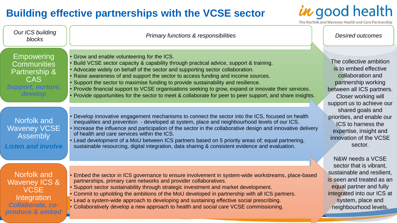#### **Building effective partnerships with the VCSE sector**

in good health

The Norfolk and Waveney Health and Care Partnership

| Our ICS building<br>blocks                                                                                    | Primary functions & responsibilities                                                                                                                                                                                                                                                                                                                                                                                                                                                                                                                                                                         |  | <b>Desired outcomes</b>                                                                                                                                                                                                                                                                                                                                |
|---------------------------------------------------------------------------------------------------------------|--------------------------------------------------------------------------------------------------------------------------------------------------------------------------------------------------------------------------------------------------------------------------------------------------------------------------------------------------------------------------------------------------------------------------------------------------------------------------------------------------------------------------------------------------------------------------------------------------------------|--|--------------------------------------------------------------------------------------------------------------------------------------------------------------------------------------------------------------------------------------------------------------------------------------------------------------------------------------------------------|
| <b>Empowering</b><br><b>Communities</b><br><b>Partnership &amp;</b><br>CAS<br>oport. nurtur<br><b>develop</b> | Grow and enable volunteering for the ICS.<br>Build VCSE sector capacity & capability through practical advice, support & training.<br>Advocate widely on behalf of the sector and supporting sector collaboration.<br>Raise awareness of and support the sector to access funding and income sources.<br>Support the sector to maximise funding to provide sustainability and resilience.<br>Provide financial support to VCSE organisations seeking to grow, expand or innovate their services.<br>Provide opportunities for the sector to meet & collaborate for peer to peer support, and share insights. |  | The collective ambition<br>is to embed effective<br>collaboration and<br>partnership working<br>between all ICS partners.<br><b>Closer working will</b><br>support us to achieve our<br>shared goals and<br>priorities, and enable our<br><b>ICS</b> to harness the<br>expertise, insight and<br>innovation of the VCSE<br>sector.<br>N&W needs a VCSE |
| Norfolk and<br><b>Waveney VCSE</b><br><b>Assembly</b><br><b>Listen and involve</b>                            | Develop innovative engagement mechanisms to connect the sector into the ICS, focused on health<br>inequalities and prevention - developed at system, place and neighbourhood levels of our ICS.<br>Increase the influence and participation of the sector in the collaborative design and innovative delivery<br>of health and care services within the ICS.<br>Lead development of a MoU between ICS partners based on 5 priority areas of; equal partnering,<br>sustainable resourcing, digital integration, data sharing & consistent evidence and evaluation.                                            |  |                                                                                                                                                                                                                                                                                                                                                        |
| Norfolk and<br><b>Waveney ICS &amp;</b><br><b>VCSE</b><br>Integration<br>Collaborate, co-<br>produce & embed  | Embed the sector in ICS governance to ensure involvement in system-wide workstreams, place-based<br>partnerships, primary care networks and provider collaboratives.<br>• Support sector sustainability through strategic investment and market development.<br>• Commit to upholding the ambitions of the MoU developed in partnership with all ICS partners.<br>• Lead a system-wide approach to developing and sustaining effective social prescribing.<br>• Collaboratively develop a new approach to health and social care VCSE commissioning.                                                         |  | sector that is vibrant,<br>sustainable and resilient,<br>is seen and treated as an<br>equal partner and fully<br>integrated into our ICS at<br>system, place and<br>neighbourhood levels.                                                                                                                                                              |